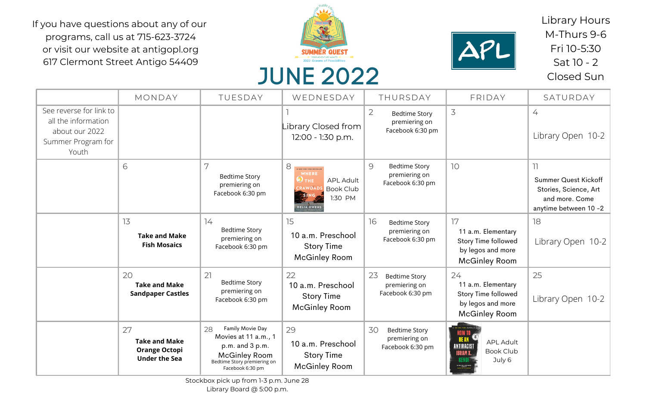## JUNE 2022

|                                                                                                 | MONDAY                                                                     | TUESDAY                                                                                                                                          | WEDNESDAY                                                                                                                                                              | THURSDAY                                                                    | FRIDAY                                                                                              | SATURDAY                                                                                              |
|-------------------------------------------------------------------------------------------------|----------------------------------------------------------------------------|--------------------------------------------------------------------------------------------------------------------------------------------------|------------------------------------------------------------------------------------------------------------------------------------------------------------------------|-----------------------------------------------------------------------------|-----------------------------------------------------------------------------------------------------|-------------------------------------------------------------------------------------------------------|
| See reverse for link to<br>all the information<br>about our 2022<br>Summer Program for<br>Youth |                                                                            |                                                                                                                                                  | ibrary Closed from  <br>12:00 - 1:30 p.m.                                                                                                                              | $\overline{2}$<br><b>Bedtime Story</b><br>premiering on<br>Facebook 6:30 pm | 3                                                                                                   | 4<br>Library Open 10-2                                                                                |
|                                                                                                 | 6                                                                          | 7<br><b>Bedtime Story</b><br>premiering on<br>Facebook 6:30 pm                                                                                   | 8<br><b>#1 NEW YORK TIMES BESTSELLER</b><br>WHERE<br>$\mathbf{\Theta}$ the<br><b>APL Adult</b><br><b>CRAWDADS</b><br><b>Book Club</b><br>1:30 PM<br><b>DELIA OWENS</b> | 9<br><b>Bedtime Story</b><br>premiering on<br>Facebook 6:30 pm              | 10 <sup>°</sup>                                                                                     | 11<br><b>Summer Quest Kickoff</b><br>Stories, Science, Art<br>and more. Come<br>anytime between 10 -2 |
|                                                                                                 | 13<br><b>Take and Make</b><br><b>Fish Mosaics</b>                          | 14<br><b>Bedtime Story</b><br>premiering on<br>Facebook 6:30 pm                                                                                  | 15<br>10 a.m. Preschool<br><b>Story Time</b><br><b>McGinley Room</b>                                                                                                   | 16<br><b>Bedtime Story</b><br>premiering on<br>Facebook 6:30 pm             | 17<br>11 a.m. Elementary<br>Story Time followed<br>by legos and more<br><b>McGinley Room</b>        | 18<br>Library Open 10-2                                                                               |
|                                                                                                 | 20<br><b>Take and Make</b><br><b>Sandpaper Castles</b>                     | 21<br>Bedtime Story<br>premiering on<br>Facebook 6:30 pm                                                                                         | 22<br>10 a.m. Preschool<br><b>Story Time</b><br><b>McGinley Room</b>                                                                                                   | 23<br><b>Bedtime Story</b><br>premiering on<br>Facebook 6:30 pm             | 24<br>11 a.m. Elementary<br><b>Story Time followed</b><br>by legos and more<br><b>McGinley Room</b> | 25<br>Library Open 10-2                                                                               |
|                                                                                                 | 27<br><b>Take and Make</b><br><b>Orange Octopi</b><br><b>Under the Sea</b> | Family Movie Day<br>28<br>Movies at 11 a.m., 1<br>$p.m.$ and $3 p.m.$<br><b>McGinley Room</b><br>Bedtime Story premiering on<br>Facebook 6:30 pm | 29<br>10 a.m. Preschool<br><b>Story Time</b><br><b>McGinley Room</b>                                                                                                   | 30<br><b>Bedtime Story</b><br>premiering on<br>Facebook 6:30 pm             | <b>APL Adult</b><br>Book Club<br><b>IBRAM X.</b><br>July 6                                          |                                                                                                       |

Library Hours M-Thurs 9-6 Fri 10-5:30 Sat 10 - 2 Closed Sun

If you have questions about any of our programs, call us at 715-623-3724 or visit our website at antigopl.org 617 Clermont Street Antigo 54409





Stockbox pick up from 1-3 p.m. June 28

Library Board @ 5:00 p.m.